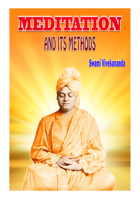# MUEDITE THION AND ITS METHODS

## **Swami Vivekananda**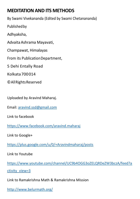### **MEDITATION AND ITS METHODS**

By Swami Vivekananda (Edited by Swami Chetanananda)

Publishedby

Adhyaksha,

AdvaitaAshrama Mayavati,

Champawat, Himalayas

From its PublicationDepartment,

5 Dehi Entally Road

Kolkata700014

©AllRightsReserved

Uploaded by Aravind Maharaj.

Email: [aravind.ssd@gmail.com](mailto:aravind.ssd@gmail.com)

Link to facebook

<https://www.facebook.com/aravind.maharaj>

Link to Google+

<https://plus.google.com/u/0/+Aravindmaharaj/posts>

Link to Youtube

[https://www.youtube.com/channel/UC9b4OGG3oZELQRDeZW3bczA/feed?a](https://www.youtube.com/channel/UC9b4OGG3oZELQRDeZW3bczA/feed?activity_view=3)

[ctivity\\_view=3](https://www.youtube.com/channel/UC9b4OGG3oZELQRDeZW3bczA/feed?activity_view=3)

Link to Ramakrishna Math & Ramakrishna Mission

<http://www.belurmath.org/>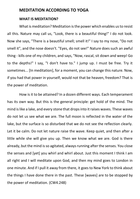#### **MEDITATION ACCORDING TO YOGA**

#### **WHAT IS MEDITATION?**

What is meditation? Meditation is the power which enables us to resist all this. Nature may call us, "Look, there is a beautiful thing!" I do not look. Now she says, "There is a beautiful smell; smell it!" I say to my nose, "Do not smell it", and the nose doesn't. "Eyes, do not see!" Nature does such an awful thing - kills one of my children, and says, "Now, rascal, sit down and weep! Go to the depths!" I say, "I don't have to." I jump up. I must be free. Try it sometimes... [In meditation], for a moment, you can change this nature. Now, if you had that power in yourself, would not that be heaven, freedom? That is the power of meditation.

How is it to be attained? In a dozen different ways. Each temperament has its own way. But this is the general principle: get hold of the mind. The mind is like a lake, and every stone that drops into it raises waves. These waves do not let us see what we are. The full moon is reflected in the water of the lake, but the surface is so disturbed that we do not see the reflection clearly. Let it be calm. Do not let nature raise the wave. Keep quiet, and then after a little while she will give you up. Then we know what we are. God is there already, but the mind is so agitated, always running after the senses. You close the senses and [yet] you whirl and whirl about. Just this moment I think I am all right and I will meditate upon God, and then my mind goes to London in one minute. And if I pull it away from there, it goes to New York to think about the things I have done there in the past. These [waves] are to be stopped by the power of meditation. (CW4.248)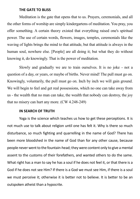#### **THE GATE TO BLISS**

Meditation is the gate that opens that to us. Prayers, ceremonials, and all the other forms of worship are simply kindergartens of meditation. You pray, you offer something. A certain theory existed that everything raised one's spiritual power. The use of certain words, flowers, images, temples, ceremonials like the waving of lights brings the mind to that attitude, but that attitude is always in the human soul, nowhere else. [People] are all doing it; but what they do without knowing it, do knowingly. That is the power of meditation.

Slowly and gradually we are to train ourselves. It is no joke - not a question of a day, or years, or maybe of births. Never mind! The pull must go on. Knowingly, voluntarily, the pull must go on. Inch by inch we will gain ground. We will begin to feel and get real possessions, which no one can take away from us - the wealth that no man can take, the wealth that nobody can destroy, the joy that no misery can hurt any more. (CW 4.248-249)

#### **IN SEARCH OF TRUTH**

Yoga is the science which teaches us how to get these perceptions. It is not much use to talk about religion until one has felt it. Why is there so much disturbance, so much fighting and quarrelling in the name of God? There has been more bloodshed in the name of God than for any other cause, because people never went to the fountain-head; they were content only to give a mental assent to the customs of their forefathers, and wanted others to do the same. What right has a man to say he has a soul if he does not feel it, or that there is a God if he does not see Him? If there is a God we must see Him, if there is a soul we must perceive it; otherwise it is better not to believe. It is better to be an outspoken atheist than a hypocrite.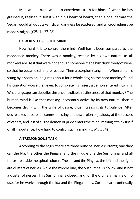Man wants truth, wants to experience truth for himself; when he has grasped it, realised it, felt it within his heart of hearts, then alone, declare the Vedas, would all doubts vanish, all darkness be scattered, and all crookedness be made straight. (CW 1.127-28)

#### **HOW RESTLESS IS THE MIND!**

How hard it is to control the mind! Well has it been compared to the maddened monkey. There was a monkey, restless by his own nature, as all monkeys are. As if that were not enough someone made him drink freely of wine, so that he became still more restless. Then a scorpion stung him. When a man is stung by a scorpion, he jumps about for a whole day; so the poor monkey found his condition worse than ever. To complete his misery a demon entered into him. What language can describe the uncontrollable restlessness of that monkey? The human mind is like that monkey, incessantly active by its own nature; then it becomes drunk with the wine of desire, thus increasing its turbulence. After desire takes possession comes the sting of the scorpion of jealousy at the success of others, and last of all the demon of pride enters the mind, making it think itself of all importance. How hard to control such a mind! (CW 1.174)

#### **A TREMONDOUS TASK**

According to the Yogis, there are three principal nerve currents; one they call the Idâ, the other the Pingalâ, and the middle one the Sushumnâ, and all these are inside the spinal column. The Ida and the Pingala, the left and the right, are clusters of nerves, while the middle one, the Sushumna, is hollow and is not a cluster of nerves. This Sushumna is closed, and for the ordinary man is of no use, for he works through the Ida and the Pingala only. Currents are continually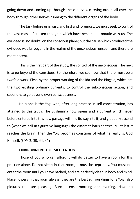going down and coming up through these nerves, carrying orders all over the body through other nerves running to the different organs of the body.

The task before us is vast; and first and foremost, we must seek to control the vast mass of sunken thoughts which have become automatic with us. The evil deed is, no doubt, on the conscious plane; but the cause which produced the evil deed was far beyond in the realms of the unconscious, unseen, and therefore more potent.

This is the first part of the study, the control of the unconscious. The next is to go beyond the conscious. So, therefore, we see now that there must be a twofold work. First, by the proper working of the Ida and the Pingala, which are the two existing ordinary currents, to control the subconscious action; and secondly, to go beyond even consciousness.

He alone is the Yogi who, after long practice in self-concentration, has attained to this truth. The Sushumna now opens and a current which never before entered into this new passage will find its way into it, and gradually ascend to (what we call in figurative language) the different lotus centres, till at last it reaches the brain. Then the Yogi becomes conscious of what he really is, God Himself. (CW 2. 30, 34, 36)

#### **ENVIRONMENT FOR MEDITATION**

Those of you who can afford it will do better to have a room for this practice alone. Do not sleep in that room, it must be kept holy. You must not enter the room until you have bathed, and are perfectly clean in body and mind. Place flowers in that room always; they are the best surroundings for a Yogi; also pictures that are pleasing. Burn incense morning and evening. Have no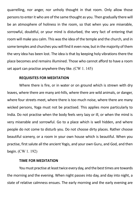quarrelling, nor anger, nor unholy thought in that room. Only allow those persons to enter it who are of the same thought as you. Then gradually there will be an atmosphere of holiness in the room, so that when you are miserable, sorrowful, doubtful, or your mind is disturbed, the very fact of entering that room will make you calm. This was the idea of the temple and the church, and in some temples and churches you will find it even now, but in the majority of them the very idea has been lost. The idea is that by keeping holy vibrations there the place becomes and remains illumined. Those who cannot afford to have a room set apart can practise anywhere they like. (CW 1. 145)

#### **REQUISITES FOR MEDITATION**

Where there is fire, or in water or on ground which is strewn with dry leaves, where there are many ant-hills, where there are wild animals, or danger, where four streets meet, where there is too much noise, where there are many wicked persons, Yoga must not be practised. This applies more particularly to India. Do not practise when the body feels very lazy or ill, or when the mind is very miserable and sorrowful. Go to a place which is well hidden, and where people do not come to disturb you. Do not choose dirty places. Rather choose beautiful scenery, or a room in your own house which is beautiful. When you practise, first salute all the ancient Yogis, and your own Guru, and God, and then begin. (CW 1. 192)

#### **TIME FOR MEDITATION**

You must practise at least twice every day, and the best times are towards the morning and the evening. When night passes into day, and day into night, a state of relative calmness ensues. The early morning and the early evening are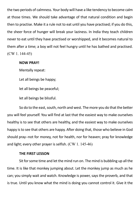the two periods of calmness. Your body will have a like tendency to become calm at those times. We should take advantage of that natural condition and begin then to practise. Make it a rule not to eat until you have practised; if you do this, the sheer force of hunger will break your laziness. In India they teach children never to eat until they have practised or worshipped, and it becomes natural to them after a time; a boy will not feel hungry until he has bathed and practised. (CW 1. 144-45)

#### **NOW PRAY!**

Mentally repeat:

Let all beings be happy;

let all beings be peaceful;

let all beings be blissful.

So do to the east, south, north and west. The more you do that the better you will feel yourself. You will find at last that the easiest way to make ourselves healthy is to see that others are healthy, and the easiest way to make ourselves happy is to see that others are happy. After doing that, those who believe in God should pray--not for money, not for health, nor for heaven; pray for knowledge and light; every other prayer is selfish. (CW 1. 145-46)

#### **THE FIRST LESSON**

Sit for some time and let the mind run on. The mind is bubbling up all the time. It is like that monkey jumping about. Let the monkey jump as much as he can; you simply wait and watch. Knowledge is power, says the proverb, and that is true. Until you know what the mind is doing you cannot control it. Give it the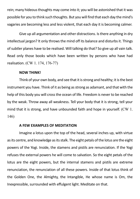rein; many hideous thoughts may come into it; you will be astonished that it was possible for you to think such thoughts. But you will find that each day the mind's vagaries are becoming less and less violent, that each day it is becoming calmer.

Give up all argumentation and other distractions. Is there anything in dry intellectual jargon? It only throws the mind off its balance and disturbs it. Things of subtler planes have to be realised. Will talking do that? So give up all vain talk. Read only those books which have been written by persons who have had realisation. (CW 1. 174, 176-77)

#### **NOW THINK!**

Think of your own body, and see that it is strong and healthy; it is the best instrument you have. Think of it as being as strong as adamant, and that with the help of this body you will cross the ocean of life. Freedom is never to be reached by the weak. Throw away all weakness. Tell your body that it is strong, tell your mind that it is strong, and have unbounded faith and hope in yourself. (CW 1. 146)

#### **A FEW EXAMPLES OF MEDITATION**

Imagine a lotus upon the top of the head, several inches up, with virtue as its centre, and knowledge as its stalk. The eight petals of the lotus are the eight powers of the Yogi. Inside, the stamens and pistils are renunciation. If the Yogi refuses the external powers he will come to salvation. So the eight petals of the lotus are the eight powers, but the internal stamens and pistils are extreme renunciation, the renunciation of all these powers. Inside of that lotus think of the Golden One, the Almighty, the Intangible, He whose name is Om, the Inexpressible, surrounded with effulgent light. Meditate on that.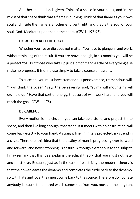Another meditation is given. Think of a space in your heart, and in the midst of that space think that a flame is burning. Think of that flame as your own soul and inside the flame is another effulgent light, and that is the Soul of your soul, God. Meditate upon that in the heart. (CW 1. 192-93)

#### **HOW TO REACH THE GOAL**

Whether you live or die does not matter. You have to plunge in and work, without thinking of the result. If you are brave enough, in six months you will be a perfect Yogi. But those who take up just a bit of it and a little of everything else make no progress. It is of no use simply to take a course of lessons.

To succeed, you must have tremendous perseverance, tremendous will. "I will drink the ocean," says the persevering soul, "at my will mountains will crumble up." Have that sort of energy, that sort of will, work hard, and you will reach the goal. (CW 1. 178)

#### **BE CAREFUL!**

Every motion is in a circle. If you can take up a stone, and project it into space, and then live long enough, that stone, if it meets with no obstruction, will come back exactly to your hand. A straight line, infinitely projected, must end in a circle. Therefore, this idea that the destiny of man is progressing ever forward and forward, and never stopping, is absurd. Although extraneous to the subject, I may remark that this idea explains the ethical theory that you must not hate, and must love. Because, just as in the case of electricity the modern theory is that the power leaves the dynamo and completes the circle back to the dynamo, so with hate and love; they must come back to the source. Therefore do not hate anybody, because that hatred which comes out from you, must, in the long run,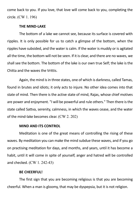come back to you. If you love, that love will come back to you, completing the circle. (CW 1. 196)

#### **THE MIND-LAKE**

The bottom of a lake we cannot see, because its surface is covered with ripples. It is only possible for us to catch a glimpse of the bottom, when the ripples have subsided, and the water is calm. If the water is muddy or is agitated all the time, the bottom will not be seen. If it is clear, and there are no waves, we shall see the bottom. The bottom of the lake is our own true Self; the lake is the Chitta and the waves the Vrittis.

Again, the mind is in three states, one of which is darkness, called Tamas, found in brutes and idiots; it only acts to injure. No other idea comes into that state of mind. Then there is the active state of mind, Rajas, whose chief motives are power and enjoyment. "I will be powerful and rule others." Then there is the state called Sattva, serenity, calmness, in which the waves cease, and the water of the mind-lake becomes clear. (CW 2. 202)

#### **MIND AND ITS CONTROL**

Meditation is one of the great means of controlling the rising of these waves. By meditation you can make the mind subdue these waves, and if you go on practising meditation for days, and months, and years, until it has become a habit, until it will come in spite of yourself, anger and hatred will be controlled and checked. (CW 1. 242-43)

#### **BE CHEERFUL!**

The first sign that you are becoming religious is that you are becoming cheerful. When a man is gloomy, that may be dyspepsia, but it is not religion.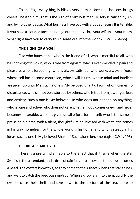To the Yogi everything is bliss, every human face that he sees brings cheerfulness to him. That is the sign of a virtuous man. Misery is caused by sin, and by no other cause. What business have you with clouded faces? It is terrible. If you have a clouded face, do not go out that day, shut yourself up in your room. What right have you to carry this disease out into the world? (CW 1. 264-65)

#### **THE SIGNS OF A YOGI**

"He who hates none, who is the friend of all, who is merciful to all, who has nothing of his own, who is free from egoism, who is even-minded in pain and pleasure, who is forbearing, who is always satisfied, who works always in Yoga, whose self has become controlled, whose will is firm, whose mind and intellect are given up unto Me, such a one is My beloved Bhakta. From whom comes no disturbance, who cannot be disturbed by others, who is free from joy, anger, fear, and anxiety, such a one is My beloved. He who does not depend on anything, who is pure and active, who does not care whether good comes or evil, and never becomes miserable, who has given up all efforts for himself; who is the same in praise or in blame, with a silent, thoughtful mind, blessed with what little comes in his way, homeless, for the whole world is his home, and who is steady in his ideas, such a one is My beloved Bhakta." Such alone become Yogis. (CW 1. 193)

#### **BE LIKE A PEARL OYSTER**

There is a pretty Indian fable to the effect that if it rains when the star Svati is in the ascendant, and a drop of rain falls into an oyster, that drop becomes a pearl. The oysters know this, so they come to the surface when that star shines, and wait to catch the precious raindrop. When a drop falls into them, quickly the oysters close their shells and dive down to the bottom of the sea, there to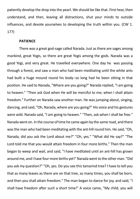patiently develop the drop into the pearl. We should be like that. First hear, then understand, and then, leaving all distractions, shut your minds to outside influences, and devote yourselves to developing the truth within you. (CW 1. 177)

#### **PATIENCE**

There was a great god-sage called Narada. Just as there are sages among mankind, great Yogis, so there are great Yogis among the gods. Narada was a good Yogi, and very great. He travelled everywhere. One day he was passing through a forest, and saw a man who had been meditating until the white ants had built a huge mound round his body--so long had he been sitting in that position. He said to Narada, "Where are you going?" Narada replied, "I am going to heaven." "Then ask God when He will be merciful to me; when I shall attain freedom." Further on Narada saw another man. He was jumping about, singing, dancing, and said, "Oh, Narada, where are you going?" His voice and his gestures were wild. Narada said, "I am going to heaven." "Then, ask when I shall be free." Narada went on. In the course of time he came again by the same road, and there was the man who had been meditating with the ant-hill round him. He said, "Oh, Narada, did you ask the Lord about me?" "Oh, yes." "What did He say?" "The Lord told me that you would attain freedom in four more births." Then the man began to weep and wail, and said, "I have meditated until an ant-hill has grown around me, and I have four more births yet!" Narada went to the other man. "Did you ask my question?" "Oh, yes. Do you see this tamarind tree? I have to tell you that as many leaves as there are on that tree, so many times, you shall be born, and then you shall attain freedom." The man began to dance for joy, and said, "I shall have freedom after such a short time!" A voice came, "My child, you will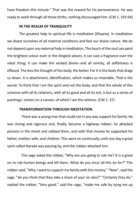have freedom this minute." That was the reward for his perseverance. He was ready to work through all those births, nothing discouraged him. (CW 1. 193-94)

#### **IN THE REALM OF TRANQUILITY**

The greatest help to spiritual life is meditation (Dhyana). In meditation we divest ourselves of all material conditions and feel our divine nature. We do not depend upon any external help in meditation. The touch of the soul can paint the brightest colour even in the dingiest places; it can cast a fragrance over the vilest thing; it can make the wicked divine--and all enmity, all selfishness is effaced. The less the thought of the body, the better. For it is the body that drags us down. It is attachment, identification, which makes us miserable. That is the secret: To think that I am the spirit and not the body, and that the whole of this universe with all its relations, with all its good and all its evil, is but as a series of paintings--scenes on a canvas--of which I am the witness. (CW 2. 37)

#### **TRANSFORMATION THROUGH MEDITATION**

There was a young man that could not in any way support his family. He was strong and vigorous and, finally, became a highway robber; he attacked persons in the street and robbed them, and with that money he supported his father, mother, wife, and children. This went on continually, until one day a great saint called Narada was passing by, and the robber attacked him.

The sage asked the robber, "Why are you going to rob me? It is a great sin to rob human beings and kill them. What do you incur all this sin for?" The robber said, "Why, I want to support my family with this money." "Now", said the sage, "do you think that they take a share of your sin also?" "Certainly they do," replied the robber. "Very good," said the sage, "make me safe by tying me up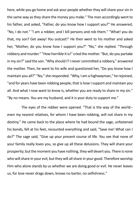here, while you go home and ask your people whether they will share your sin in the same way as they share the money you make." The man accordingly went to his father, and asked, "Father, do you know how I support you?" He answered, "No, I do not." "I am a robber, and I kill persons and rob them." "What! you do that, my son? Get away! You outcast!" He then went to his mother and asked her, "Mother, do you know how I support you?" "No," she replied. "Through robbery and murder." "How horrible it is!" cried the mother. "But, do you partake in my sin?" said the son. "Why should I? I never committed a robbery," answered the mother. Then, he went to his wife and questioned her, "Do you know how I maintain you all?" "No," she responded. "Why, I am a highwayman," he rejoined, "and for years have been robbing people; that is how I support and maintain you all. And what I now want to know is, whether you are ready to share in my sin." "By no means. You are my husband, and it is your duty to support me."

The eyes of the robber were opened. "That is the way of the world- even my nearest relatives, for whom I have been robbing, will not share in my destiny." He came back to the place where he had bound the sage, unfastened his bonds, fell at his feet, recounted everything and said, "Save me! What can I do?" The sage said, "Give up your present course of life. You see that none of your family really loves you, so give up all these delusions. They will share your prosperity; but the moment you have nothing, they will desert you. There is none who will share in your evil, but they will all share in your good. Therefore worship Him who alone stands by us whether we are doing good or evil. He never leaves us, for love never drags down, knows no barter, no selfishness."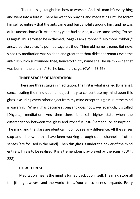Then the sage taught him how to worship. And this man left everything and went into a forest. There he went on praying and meditating until he forgot himself so entirely that the ants came and built ant-hills around him, and he was quite unconscious of it. After many years had passed, a voice came saying, "Arise, O sage!" Thus aroused he exclaimed, "Sage? I am a robber!" "No more 'robber'," answered the voice, "a purified sage art thou. Thine old name is gone. But now, since thy meditation was so deep and great that thou didst not remark even the ant-hills which surrounded thee, henceforth, thy name shall be Valmiki--'he that was born in the ant-hill'." So, he became a sage. (CW 4. 63-65)

#### **THREE STAGES OF MEDITATION**

There are three stages in meditation. The first is what is called [Dharana], concentrating the mind upon an object. I try to concentrate my mind upon this glass, excluding every other object from my mind except this glass. But the mind is wavering... When it has become strong and does not waver so much, it is called [Dhyana], meditation. And then there is a still higher state when the differentiation between the glass and myself is lost--[Samadhi or absorption]. The mind and the glass are identical. I do not see any difference. All the senses stop and all powers that have been working through other channels of other senses [are focused in the mind]. Then this glass is under the power of the mind entirely. This is to be realised. It is a tremendous play played by the Yogis. (CW 4. 228)

#### **HOW TO REST**

Meditation means the mind is turned back upon itself. The mind stops all the [thought-waves] and the world stops. Your consciousness expands. Every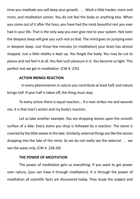time you meditate you will keep your growth. . . . Work a little harder, more and more, and meditation comes. You do not feel the body or anything else. When you come out of it after the hour, you have had the most beautiful rest you ever had in your life. That is the only way you ever give rest to your system. Not even the deepest sleep will give you such rest as that. The mind goes on jumping even in deepest sleep. Just those few minutes [in meditation] your brain has almost stopped. Just a little vitality is kept up. You forget the body. You may be cut to pieces and not feel it at all. You feel such pleasure in it. You become so light. This perfect rest we get in meditation. (CW 4. 235)

#### **ACTION BRINGS REACTION**

In every phenomenon in nature you contribute at least half, and nature brings half. If your half is taken off, the thing must stop.

To every action there is equal reaction… If a man strikes me and wounds me, it is that man's action and my body's reaction.

Let us take another example. You are dropping stones upon the smooth surface of a lake. Every stone you drop is followed by a reaction. The stone is covered by the little waves in the lake. Similarly, external things are like the stones dropping into the lake of the mind. So we do not really see the external . . . we see the wave only. (CW 4. 228-29)

#### **THE POWER OF MEDITATION**

The power of meditation gets us everything. If you want to get power over nature, [you can have it through meditation]. It is through the power of meditation all scientific facts are discovered today. They study the subject and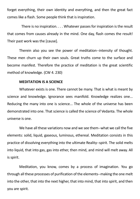forget everything, their own identity and everything, and then the great fact comes like a flash. Some people think that is inspiration.

There is no inspiration. . . . Whatever passes for inspiration is the result that comes from causes already in the mind. One day, flash comes the result! Their past work was the [cause].

Therein also you see the power of meditation--intensity of thought. These men churn up their own souls. Great truths come to the surface and become manifest. Therefore the practice of meditation is the great scientific method of knowledge. (CW 4. 230)

#### **MEDITATION IS A SCIENCE**

Whatever exists is one. There cannot be many. That is what is meant by science and knowledge. Ignorance sees manifold. Knowledge realizes one... Reducing the many into one is science... The whole of the universe has been demonstrated into one. That science is called the science of Vedanta. The whole universe is one.

We have all these variations now and we see them--what we call the five elements: solid, liquid, gaseous, luminous, ethereal. Meditation consists in this practice of dissolving everything into the ultimate Reality--spirit. The solid melts into liquid, that into gas, gas into ether, then mind, and mind will melt away. All is spirit.

Meditation, you know, comes by a process of imagination. You go through all these processes of purification of the elements--making the one melt into the other, that into the next higher, that into mind, that into spirit, and then you are spirit.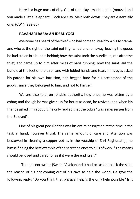Here is a huge mass of clay. Out of that clay I made a little [mouse] and you made a little [elephant]. Both are clay. Melt both down. They are essentially one. (CW 4. 232-35)

#### **PAVAHARI BABA: AN IDEAL YOGI**

everyone has heard of the thief who had come to steal from his Ashrama, and who at the sight of the saint got frightened and ran away, leaving the goods he had stolen in a bundle behind; how the saint took the bundle up, ran after the thief, and came up to him after miles of hard running; how the saint laid the bundle at the feet of the thief, and with folded hands and tears in his eyes asked his pardon for his own intrusion, and begged hard for his acceptance of the goods, since they belonged to him, and not to himself.

We are also told, on reliable authority, how once he was bitten by a cobra; and though he was given up for hours as dead, he revived; and when his friends asked him about it, he only replied that the cobra "was a messenger from the Beloved".

One of his great peculiarities was his entire absorption at the time in the task in hand, however trivial. The same amount of care and attention was bestowed in cleaning a copper pot as in the worship of Shri Raghunathji, he himself being the best example of the secret he once told us of work: "The means should be loved and cared for as if it were the end itself."

The present writer (Swami Vivekananda) had occasion to ask the saint the reason of his not coming out of his cave to help the world. He gave the following reply: "Do you think that physical help is the only help possible? Is it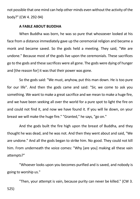not possible that one mind can help other minds even without the activity of the body?" (CW 4. 292-94)

#### **A FABLE ABOUT BUDDHA**

When Buddha was born, he was so pure that whosoever looked at his face from a distance immediately gave up the ceremonial religion and became a monk and became saved. So the gods held a meeting. They said, "We are undone." Because most of the gods live upon the ceremonials. These sacrifices go to the gods and these sacrifices were all gone. The gods were dying of hunger and [the reason for] it was that their power was gone.

So the gods said: "We must, anyhow, put this man down. He is too pure for our life". And then the gods came and said: "Sir, we come to ask you something. We want to make a great sacrifice and we mean to make a huge fire, and we have been seeking all over the world for a pure spot to light the fire on and could not find it, and now we have found it. If you will lie down, on your breast we will make the huge fire." "Granted," he says, "go on."

And the gods built the fire high upon the breast of Buddha, and they thought he was dead, and he was not. And then they went about and said, "We are undone." And all the gods began to strike him. No good. They could not kill him. From underneath the voice comes: "Why [are you] making all these vain attempts?"

"Whoever looks upon you becomes purified and is saved, and nobody is going to worship us."

"Then, your attempt is vain, because purity can never be killed." (CW 3. 525)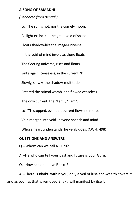#### **A SONG OF SAMADHI**

#### *(Rendered from Bengali)*

Lo! The sun is not, nor the comely moon, All light extinct; in the great void of space Floats shadow-like the image-universe. In the void of mind involute, there floats The fleeting universe, rises and floats, Sinks again, ceaseless, in the current "I". Slowly, slowly, the shadow-multitude Entered the primal womb, and flowed ceaseless, The only current, the "I am", "I am". Lo! 'Tis stopped, ev'n that current flows no more, Void merged into void--beyond speech and mind Whose heart understands, he verily does. (CW 4. 498)

#### **QUESTIONS AND ANSWERS**

Q.--Whom can we call a Guru?

A.--He who can tell your past and future is your Guru.

Q.--How can one have Bhakti?

A.--There is Bhakti within you, only a veil of lust-and-wealth covers it, and as soon as that is removed Bhakti will manifest by itself.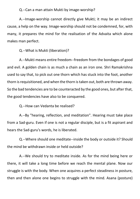Q.--Can a man attain Mukti by image-worship?

A.--Image-worship cannot directly give Mukti; it may be an indirect cause, a help on the way. Image-worship should not be condemned, for, with many, it prepares the mind for the realisation of the Advaita which alone makes man perfect.

Q.--What is Mukti (liberation)?

A.--Mukti means entire freedom--freedom from the bondages of good and evil. A golden chain is as much a chain as an iron one. Shri Ramakrishna used to say that, to pick out one thorn which has stuck into the foot, another thorn is requisitioned, and when the thorn is taken out, both are thrown away. So the bad tendencies are to be counteracted by the good ones, but after that, the good tendencies have also to be conquered.

Q.--How can Vedanta be realised?

A.--By "hearing, reflection, and meditation". Hearing must take place from a Sad-guru. Even if one is not a regular disciple, but is a fit aspirant and hears the Sad-guru's words, he is liberated.

Q.--Where should one meditate--inside the body or outside it? Should the mind be withdrawn inside or held outside?

A.--We should try to meditate inside. As for the mind being here or there, it will take a long time before we reach the mental plane. Now our struggle is with the body. When one acquires a perfect steadiness in posture, then and then alone one begins to struggle with the mind. Asana (posture)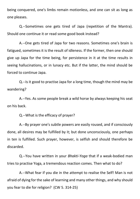being conquered, one's limbs remain motionless, and one can sit as long as one pleases.

Q.--Sometimes one gets tired of Japa (repetition of the Mantra). Should one continue it or read some good book instead?

A.--One gets tired of Japa for two reasons. Sometimes one's brain is fatigued, sometimes it is the result of idleness. If the former, then one should give up Japa for the time being, for persistence in it at the time results in seeing hallucinations, or in lunacy etc. But if the latter, the mind should be forced to continue Japa.

Q.--Is it good to practise Japa for a long time, though the mind may be wandering?

A.--Yes. As some people break a wild horse by always keeping his seat on his back.

Q.--What is the efficacy of prayer?

A.--By prayer one's subtle powers are easily roused, and if consciously done, all desires may be fulfilled by it; but done unconsciously, one perhaps in ten is fulfilled. Such prayer, however, is selfish and should therefore be discarded.

Q.--You have written in your *Bhakti-Yoga* that if a weak-bodied man tries to practise Yoga, a tremendous reaction comes. Then what to do?

A.--What fear if you die in the attempt to realise the Self! Man is not afraid of dying for the sake of learning and many other things, and why should you fear to die for religion? (CW 5. 314-25)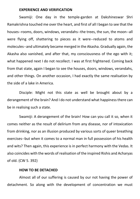#### **EXPERIENCE AND VERIFICATION**

Swamiji: One day in the temple-garden at Dakshineswar Shri Ramakrishna touched me over the heart, and first of all I began to see that the houses--rooms, doors, windows, verandahs--the trees, the sun, the moon--all were flying off, shattering to pieces as it were--reduced to atoms and molecules--and ultimately became merged in the Akasha. Gradually again, the Akasha also vanished, and after that, my consciousness of the ego with it; what happened next I do not recollect. I was at first frightened. Coming back from that state, again I began to see the houses, doors, windows, verandahs, and other things. On another occasion, I had exactly the same realisation by the side of a lake in America.

Disciple: Might not this state as well be brought about by a derangement of the brain? And I do not understand what happiness there can be in realising such a state.

Swamiji: A derangement of the brain! How can you call it so, when it comes neither as the result of delirium from any disease, nor of intoxication from drinking, nor as an illusion produced by various sorts of queer breathing exercises--but when it comes to a normal man in full possession of his health and wits? Then again, this experience is in perfect harmony with the Vedas. It also coincides with the words of realisation of the inspired Rishis and Acharyas of old. (CW 5. 392)

#### **HOW TO BE DETACHED**

Almost all of our suffering is caused by our not having the power of detachment. So along with the development of concentration we must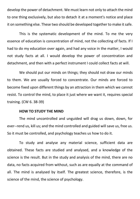develop the power of detachment. We must learn not only to attach the mind to one thing exclusively, but also to detach it at a moment's notice and place it on something else. These two should be developed together to make it safe.

This is the systematic development of the mind. To me the very essence of education is concentration of mind, not the collecting of facts. If I had to do my education over again, and had any voice in the matter, I would not study facts at all. I would develop the power of concentration and detachment, and then with a perfect instrument I could collect facts at will.

We should put our minds on things; they should not draw our minds to them. We are usually forced to concentrate. Our minds are forced to become fixed upon different things by an attraction in them which we cannot resist. To control the mind, to place it just where we want it, requires special training. (CW 6. 38-39)

#### **HOW TO STUDY THE MIND**

The mind uncontrolled and unguided will drag us down, down, for ever--rend us, kill us; and the mind controlled and guided will save us, free us. So it must be controlled, and psychology teaches us how to do it.

To study and analyse any material science, sufficient data are obtained. These facts are studied and analysed, and a knowledge of the science is the result. But in the study and analysis of the mind, there are no data, no facts acquired from without, such as are equally at the command of all. The mind is analysed by itself. The greatest science, therefore, is the science of the mind, the science of psychology.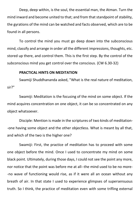Deep, deep within, is the soul, the essential man, the Atman. Turn the mind inward and become united to that; and from that standpoint of stability, the gyrations of the mind can be watched and facts observed, which are to be found in all persons.

To control the mind you must go deep down into the subconscious mind, classify and arrange in order all the different impressions, thoughts, etc. stored up there, and control them. This is the first step. By the control of the subconscious mind you get control over the conscious. (CW 6.30-32)

#### **PRACTICAL HINTS ON MEDITATION**

Swamiji Shuddhananda asked, "What is the real nature of meditation, sir?"

Swamiji: Meditation is the focusing of the mind on some object. If the mind acquires concentration on one object, it can be so concentrated on any object whatsoever.

Disciple: Mention is made in the scriptures of two kinds of meditation- -one having some object and the other objectless. What is meant by all that, and which of the two is the higher one?

Swamiji: First, the practice of meditation has to proceed with some one object before the mind. Once I used to concentrate my mind on some black point. Ultimately, during those days, I could not see the point any more, nor notice that the point was before me at all--the mind used to be no more- -no wave of functioning would rise, as if it were all an ocean without any breath of air. In that state I used to experience glimpses of supersensuous truth. So I think, the practice of meditation even with some trifling external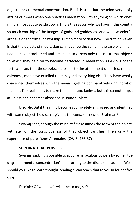object leads to mental concentration. But it is true that the mind very easily attains calmness when one practises meditation with anything on which one's mind is most apt to settle down. This is the reason why we have in this country so much worship of the images of gods and goddesses. And what wonderful art developed from such worship! But no more of that now. The fact, however, is that the objects of meditation can never be the same in the case of all men. People have proclaimed and preached to others only those external objects to which they held on to become perfected in meditation. Oblivious of the fact, later on, that these objects are aids to the attainment of perfect mental calmness, men have extolled them beyond everything else. They have wholly concerned themselves with the means, getting comparatively unmindful of the end. The real aim is to make the mind functionless, but this cannot be got at unless one becomes absorbed in some subject.

Disciple: But if the mind becomes completely engrossed and identified with some object, how can it give us the consciousness of Brahman?

Swamiji: Yes, though the mind at first assumes the form of the object, yet later on the consciousness of that object vanishes. Then only the experience of pure "isness" remains. (CW 6. 486-87)

#### **SUPERNATURAL POWERS**

Swamiji said, "It is possible to acquire miraculous powers by some little degree of mental concentration", and turning to the disciple he asked, "Well, should you like to learn thought-reading? I can teach that to you in four or five days."

Disciple: Of what avail will it be to me, sir?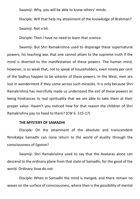Swamiji: Why, you will be able to know others' minds.

Disciple: Will that help my attainment of the knowledge of Brahman? Swamiji: Not a bit.

Disciple: Then I have no need to learn that science.

Swamiji: But Shri Ramakrishna used to disparage these supernatural powers; his teaching was that one cannot attain to the supreme truth if the mind is diverted to the manifestation of these powers. The human mind, however, is so weak that, not to speak of householders, even ninety per cent of the Sadhus happen to be votaries of these powers. In the West, men are lost in wonderment if they come across such miracles. It is only because Shri Ramakrishna has mercifully made us understand the evil of these powers as being hindrances to real spirituality that we are able to take them at their proper value. Haven't you noticed how for that reason the children of Shri Ramakrishna pay no heed to them? (CW 6. 515-17)

#### **THE MYSTERY OF SAMADHI**

Disciple: On the attainment of the absolute and transcendent Nirvikalpa Samadhi can none return to the world of duality through the consciousness of Egoism?

Swamiji: Shri Ramakrishna used to say that the Avataras alone can descend to the ordinary plane from that state of Samadhi, for the good of the world. Ordinary Jivas do not.

Disciple: When in Samadhi the mind is merged, and there remain no waves on the surface of consciousness, where then is the possibility of mental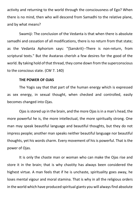activity and returning to the world through the consciousness of Ego? When there is no mind, then who will descend from Samadhi to the relative plane, and by what means?

Swamiji: The conclusion of the Vedanta is that when there is absolute samadhi and cessation of all modifications, there is no return from that state; as the Vedanta Aphorism says: "{Sanskrit}--There is non-return, from scriptural texts." But the Avataras cherish a few desires for the good of the world. By taking hold of that thread, they come down from the superconscious to the conscious state. (CW 7. 140)

#### **THE POWER OF OJAS**

The Yogis say that that part of the human energy which is expressed as sex energy, in sexual thought, when checked and controlled, easily becomes changed into Ojas.

Ojas is stored up in the brain, and the more Ojas is in a man's head, the more powerful he is, the more intellectual, the more spiritually strong. One man may speak beautiful language and beautiful thoughts, but they do not impress people; another man speaks neither beautiful language nor beautiful thoughts, yet his words charm. Every movement of his is powerful. That is the power of Ojas.

It is only the chaste man or woman who can make the Ojas rise and store it in the brain; that is why chastity has always been considered the highest virtue. A man feels that if he is unchaste, spirituality goes away, he loses mental vigour and moral stamina. That is why in all the religious orders in the world which have produced spiritual giants you will always find absolute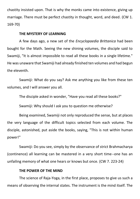chastity insisted upon. That is why the monks came into existence, giving up marriage. There must be perfect chastity in thought, word, and deed. (CW 1. 169-70)

#### **THE MYSTERY OF LEARNING**

A few days ago, a new set of the *Encyclopaedia Brittanica* had been bought for the Math. Seeing the new shining volumes, the disciple said to Swamiji, "It is almost impossible to read all these books in a single lifetime." He was unaware that Swamiji had already finished ten volumes and had begun the eleventh.

Swamiji: What do you say? Ask me anything you like from these ten volumes, and I will answer you all.

The disciple asked in wonder, "Have you read all these books?"

Swamiji: Why should I ask you to question me otherwise?

Being examined, Swamiji not only reproduced the sense, but at places the very language of the difficult topics selected from each volume. The disciple, astonished, put aside the books, saying, "This is not within human power!"

Swamiji: Do you see, simply by the observance of strict Brahmacharya (continence) all learning can be mastered in a very short time--one has an unfailing memory of what one hears or knows but once. (CW 7. 223-24)

#### **THE POWER OF THE MIND**

The science of Raja-Yoga, in the first place, proposes to give us such a means of observing the internal states. The instrument is the mind itself. The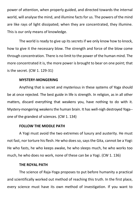power of attention, when properly guided, and directed towards the internal world, will analyse the mind, and illumine facts for us. The powers of the mind are like rays of light dissipated; when they are concentrated, they illumine. This is our only means of knowledge.

The world is ready to give up its secrets if we only know how to knock, how to give it the necessary blow. The strength and force of the blow come through concentration. There is no limit to the power of the human mind. The more concentrated it is, the more power is brought to bear on one point; that is the secret. (CW 1. 129-31)

#### **MYSTERY-MONGERING**

Anything that is secret and mysterious in these systems of Yoga should be at once rejected. The best guide in life is strength. In religion, as in all other matters, discard everything that weakens you, have nothing to do with it. Mystery-mongering weakens the human brain. It has well-nigh destroyed Yoga- one of the grandest of sciences. (CW 1. 134)

#### **FOLLOW THE MIDDLE PATH**

A Yogi must avoid the two extremes of luxury and austerity. He must not fast, nor torture his flesh. He who does so, says the Gita, cannot be a Yogi: He who fasts, he who keeps awake, he who sleeps much, he who works too much, he who does no work, none of these can be a Yogi. (CW 1. 136)

#### **THE ROYAL PATH**

The science of Raja-Yoga proposes to put before humanity a practical and scientifically worked out method of reaching this truth. In the first place, every science must have its own method of investigation. If you want to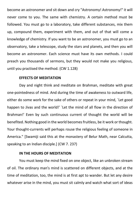become an astronomer and sit down and cry "Astronomy! Astronomy!" it will never come to you. The same with chemistry. A certain method must be followed. You must go to a laboratory, take different substances, mix them up, compound them, experiment with them, and out of that will come a knowledge of chemistry. If you want to be an astronomer, you must go to an observatory, take a telescope, study the stars and planets, and then you will become an astronomer. Each science must have its own methods. I could preach you thousands of sermons, but they would not make you religious, until you practised the method. (CW 1.128)

#### **EFFECTS OF MEDITATION**

Day and night think and meditate on Brahman, meditate with great one-pointedness of mind. And during the time of awakeness to outward life, either do some work for the sake of others or repeat in your mind, `Let good happen to Jivas and the world!' `Let the mind of all flow in the direction of Brahman!' Even by such continuous current of thought the world will be benefited. Nothing good in the world becomes fruitless, be it work or thought. Your thought-currents will perhaps rouse the religious feeling of someone in America." [Swamiji said this at the monastery of Belur Math, near Calcutta, speaking to an Indian disciple.] (CW 7. 237)

#### **IN THE HOURS OF MEDITATION**

You must keep the mind fixed on one object, like an unbroken stream of oil. The ordinary man's mind is scattered on different objects, and at the time of meditation, too, the mind is at first apt to wander. But let any desire whatever arise in the mind, you must sit calmly and watch what sort of ideas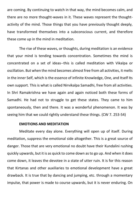are coming. By continuing to watch in that way, the mind becomes calm, and there are no more thought-waves in it. These waves represent the thoughtactivity of the mind. Those things that you have previously thought deeply, have transformed themselves into a subconscious current, and therefore these come up in the mind in meditation.

The rise of these waves, or thoughts, during meditation is an evidence that your mind is tending towards concentration. Sometimes the mind is concentrated on a set of ideas--this is called meditation with Vikalpa or oscillation. But when the mind becomes almost free from all activities, it melts in the inner Self, which is the essence of infinite Knowledge, One, and Itself Its own support. This is what is called Nirvikalpa Samadhi, free from all activities. In Shri Ramakrishna we have again and again noticed both these forms of Samadhi. He had not to struggle to get these states. They came to him spontaneously, then and there. It was a wonderful phenomenon. It was by seeing him that we could rightly understand these things. (CW 7. 253-54)

#### **EMOTIONS AND MEDITATION**

Meditate every day alone. Everything will open up of itself. During meditation, suppress the emotional side altogether. This is a great source of danger. Those that are very emotional no doubt have their Kundalini rushing quickly upwards, but it is as quick to come down as to go up. And when it does come down, it leaves the devotee in a state of utter ruin. It is for this reason that Kirtanas and other auxiliaries to emotional development have a great drawback. It is true that by dancing and jumping, etc. through a momentary impulse, that power is made to course upwards, but it is never enduring. On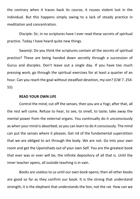the contrary when it traces back its course, it rouses violent lust in the individual. But this happens simply owing to a lack of steady practice in meditation and concentration.

Disciple: Sir, in no scriptures have I ever read these secrets of spiritual practice. Today I have heard quite new things.

Swamiji: Do you think the scriptures contain all the secrets of spiritual practice? These are being handed down secretly through a succession of Gurus and disciples. Don't leave out a single day. If you have too much pressing work, go through the spiritual exercises for at least a quarter of an hour. Can you reach the goal without steadfast devotion, my son? (CW 7. 254- 55)

#### **READ YOUR OWN LIFE**

Control the mind, cut off the senses, then you are a Yogi; after that, all the rest will come. Refuse to hear, to see, to smell, to taste; take away the mental power from the external organs. You continually do it unconsciously as when your mind is absorbed; so you can learn to do it consciously. The mind can put the senses where it pleases. Get rid of the fundamental superstition that we are obliged to act through the body. We are not. Go into your own room and get the Upanishads out of your own Self. You are the greatest book that ever was or ever will be, the infinite depository of all that is. Until the inner teacher opens, all outside teaching is in vain.

Books are useless to us until our own book opens; then all other books are good so far as they confirm our book. It is the strong that understand strength, it is the elephant that understands the lion, not the rat. How can we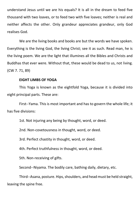understand Jesus until we are his equals? It is all in the dream to feed five thousand with two loaves, or to feed two with five loaves; neither is real and neither affects the other. Only grandeur appreciates grandeur, only God realises God.

We are the living books and books are but the words we have spoken. Everything is the living God, the living Christ; see it as such. Read man, he is the living poem. We are the light that illumines all the Bibles and Christs and Buddhas that ever were. Without that, these would be dead to us, not living. (CW 7. 71, 89)

#### **EIGHT LIMBS OF YOGA**

This Yoga is known as the eightfold Yoga, because it is divided into eight principal parts. These are:

First--Yama. This is most important and has to govern the whole life; it has five divisions:

1st. Not injuring any being by thought, word, or deed.

2nd. Non-covetousness in thought, word, or deed.

3rd. Perfect chastity in thought, word, or deed.

4th. Perfect truthfulness in thought, word, or deed.

5th. Non-receiving of gifts.

Second--Niyama. The bodily care, bathing daily, dietary, etc.

Third--Asana, posture. Hips, shoulders, and head must be held straight, leaving the spine free.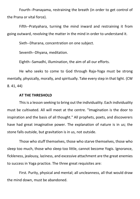Fourth--Pranayama, restraining the breath (in order to get control of the Prana or vital force).

Fifth--Pratyahara, turning the mind inward and restraining it from going outward, revolving the matter in the mind in order to understand it.

Sixth--Dharana, concentration on one subject.

Seventh--Dhyana, meditation.

Eighth--Samadhi, illumination, the aim of all our efforts.

He who seeks to come to God through Raja-Yoga must be strong mentally, physically, morally, and spiritually. Take every step in that light. (CW 8. 41, 44)

#### **AT THE THRESHOLD**

This is a lesson seeking to bring out the individuality. Each individuality must be cultivated. All will meet at the centre. "Imagination is the door to inspiration and the basis of all thought." All prophets, poets, and discoverers have had great imaginative power. The explanation of nature is in us; the stone falls outside, but gravitation is in us, not outside.

Those who stuff themselves, those who starve themselves, those who sleep too much, those who sleep too little, cannot become Yogis. Ignorance, fickleness, jealousy, laziness, and excessive attachment are the great enemies to success in Yoga practice. The three great requisites are:

First. Purity, physical and mental; all uncleanness, all that would draw the mind down, must be abandoned.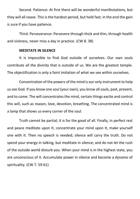Second. Patience: At first there will be wonderful manifestations, but they will all cease. This is the hardest period, but hold fast; in the end the gain is sure if you have patience.

Third. Perseverance: Persevere through thick and thin, through health and sickness, never miss a day in practice. (CW 8. 38)

## **MEDITATE IN SILENCE**

It is impossible to find God outside of ourselves. Our own souls contribute all the divinity that is outside of us. We are the greatest temple. The objectification is only a faint imitation of what we see within ourselves.

Concentration of the powers of the mind is our only instrument to help us see God. If you know one soul (your own), you know all souls, past, present, and to come. The will concentrates the mind, certain things excite and control this will, such as reason, love, devotion, breathing. The concentrated mind is a lamp that shows us every corner of the soul.

Truth cannot be partial; it is for the good of all. Finally, in perfect rest and peace meditate upon It, concentrate your mind upon It, make yourself one with It. Then no speech is needed; silence will carry the truth. Do not spend your energy in talking, but meditate in silence; and do not let the rush of the outside world disturb you. When your mind is in the highest state, you are unconscious of it. Accumulate power in silence and become a dynamo of spirituality. (CW 7. 59-61)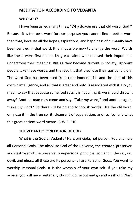# **MEDITATION ACCORDING TO VEDANTA**

## **WHY GOD?**

I have been asked many times, "Why do you use that old word, God?" Because it is the best word for our purpose; you cannot find a better word than that, because all the hopes, aspirations, and happiness of humanity have been centred in that word. It is impossible now to change the word. Words like these were first coined by great saints who realised their import and understood their meaning. But as they become current in society, ignorant people take these words, and the result is that they lose their spirit and glory. The word God has been used from time immemorial, and the idea of this cosmic intelligence, and all that is great and holy, is associated with it. Do you mean to say that because some fool says it is not all right, we should throw it away? Another man may come and say, "Take *my* word," and another again, "Take *my* word." So there will be no end to foolish words. Use the old word, only use it in the true spirit, cleanse it of superstition, and realise fully what this great ancient word means. (CW 2. 210)

## **THE VEDANTIC CONCEPTION OF GOD**

What is the God of Vedanta? He is principle, not person. You and I are all Personal Gods. The absolute God of the universe, the creator, preserver, and destroyer of the universe, is impersonal principle. You and I, the cat, rat, devil, and ghost, all these are Its persons--all are Personal Gods. You want to worship Personal Gods. It is the worship of your own self. If you take my advice, you will never enter any church. Come out and go and wash off. Wash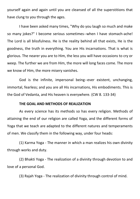yourself again and again until you are cleansed of all the superstitions that have clung to you through the ages.

I have been asked many times, "Why do you laugh so much and make so many jokes?" I become serious sometimes--when I have stomach-ache! The Lord is all blissfulness. He is the reality behind all that exists, He is the goodness, the truth in everything. You are His incarnations. That is what is glorious. The nearer you are to Him, the less you will have occasions to cry or weep. The further we are from Him, the more will long faces come. The more we know of Him, the more misery vanishes.

God is the infinite, impersonal being--ever existent, unchanging, immortal, fearless; and you are all His incarnations, His embodiments. This is the God of Vedanta, and His heaven is everywhere. (CW 8. 133-34)

# **THE GOAL AND METHODS OF REALIZATION**

As every science has its methods so has every religion. Methods of attaining the end of our religion are called Yoga, and the different forms of Yoga that we teach are adapted to the different natures and temperaments of men. We classify them in the following way, under four heads:

(1) Karma Yoga - The manner in which a man realizes his own divinity through works and duty.

(2) Bhakti Yoga - The realization of a divinity through devotion to and love of a personal God.

(3) Rajah Yoga - The realization of divinity through control of mind.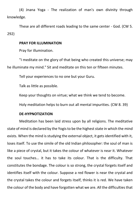(4) Jnana Yoga - The realization of man's own divinity through knowledge.

These are all different roads leading to the same center - God. (CW 5. 292)

# **PRAY FOR ILLUMINATION**

Pray for illumination.

"I meditate on the glory of that being who created this universe; may he illuminate my mind." Sit and meditate on this ten or fifteen minutes.

Tell your experiences to no one but your Guru.

Talk as little as possible.

Keep your thoughts on virtue; what we think we tend to become.

Holy meditation helps to burn out all mental impurities. (CW 8. 39)

# **DE-HYPNOTIZATION**

Meditation has been laid stress upon by all religions. The meditative state of mind is declared by the Yogis to be the highest state in which the mind exists. When the mind is studying the external object, it gets identified with it, loses itself. To use the simile of the old Indian philosopher: the soul of man is like a piece of crystal, but it takes the colour of whatever is near it. Whatever the soul touches… it has to take its colour. That is the difficulty. That constitutes the bondage. The colour is so strong, the crystal forgets itself and identifies itself with the colour. Suppose a red flower is near the crystal and the crystal takes the colour and forgets itself, thinks it is red. We have taken the colour of the body and have forgotten what we are. All the difficulties that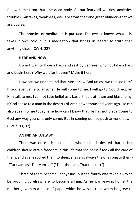follow come from that one dead body. All our fears, all worries, anxieties, troubles, mistakes, weakness, evil, are from that one great blunder--that we are bodies.

The practice of meditation is pursued. The crystal knows what it is, takes it own colour. It is meditation that brings us nearer to truth than anything else… (CW 4. 227)

### **HERE AND NOW**

Do not wait to have a harp and rest by degrees; why not take a harp and begin here? Why wait for heaven? Make it here.

How can we understand that Moses saw God unless we too see Him? If God ever came to anyone, He will come to me. I will go to God direct; let Him talk to me. I cannot take belief as a basis; that is atheism and blasphemy. If God spake to a man in the deserts of Arabia two thousand years ago, He can also speak to me today, else how can I know that He has not died? Come to God any way you can; only come. But in coming do not push anyone down. (CW 7. 93, 97)

### **AN INDIAN LULLABY**

There was once a Hindu queen, who so much desired that all her children should attain freedom in this life that she herself took all the care of them; and as she rocked them to sleep, she sang always the one song to them- -"Tat tvam asi, Tat tvam asi" ("That thou art, That thou art").

Three of them became Sannyasins, but the fourth was taken away to be brought up elsewhere to become a king. As he was leaving home, the mother gave him a piece of paper which he was to read when he grew to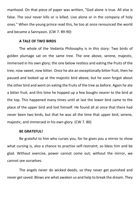manhood. On that piece of paper was written, "God alone is true. All else is false. The soul never kills or is killed. Live alone or in the company of holy ones." When the young prince read this, he too at once renounced the world and became a Sannyasin. (CW 7. 89-90)

# **A TALE OF TWO BIRDS**

The whole of the Vedanta Philosophy is in this story: Two birds of golden plumage sat on the same tree. The one above, serene, majestic, immersed in his own glory; the one below restless and eating the fruits of the tree, now sweet, now bitter. Once he ate an exceptionally bitter fruit, then he paused and looked up at the majestic bird above; but he soon forgot about the other bird and went on eating the fruits of the tree as before. Again he ate a bitter fruit, and this time he hopped up a few boughs nearer to the bird at the top. This happened many times until at last the lower bird came to the place of the upper bird and lost himself. He found all at once that there had never been two birds, but that he was all the time that upper bird, serene, majestic, and immersed in his own glory. (CW 7. 80)

#### **BE GRATEFUL!**

Be grateful to him who curses you, for he gives you a mirror to show what cursing is, also a chance to practise self-restraint; so bless him and be glad. Without exercise, power cannot come out; without the mirror, we cannot see ourselves.

The angels never do wicked deeds, so they never get punished and never get saved. Blows are what awaken us and help to break the dream. They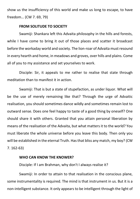show us the insufficiency of this world and make us long to escape, to have freedom… (CW 7. 69, 79)

# **FROM SOLITUDE TO SOCIETY**

Swamiji: Shankara left this Advaita philosophy in the hills and forests, while I have come to bring it out of those places and scatter it broadcast before the workaday world and society. The lion-roar of Advaita must resound in every hearth and home, in meadows and groves, over hills and plains. Come all of you to my assistance and set yourselves to work.

Disciple: Sir, it appeals to me rather to realise that state through meditation than to manifest it in action.

Swamiji: That is but a state of stupefaction, as under liquor. What will be the use of merely remaining like that? Through the urge of Advaitic realisation, you should sometimes dance wildly and sometimes remain lost to outward sense. Does one feel happy to taste of a good thing by oneself? One should share it with others. Granted that you attain personal liberation by means of the realisation of the Advaita, but what matters it to the world? You must liberate the whole universe before you leave this body. Then only you will be established in the eternal Truth. Has that bliss any match, my boy? (CW 7. 162-63)

# **WHO CAN KNOW THE KNOWER?**

Disciple: If I am Brahman, why don't I always realise it?

Swamiji: In order to attain to that realisation in the conscious plane, some instrumentality is required. The mind is that instrument in us. But it is a non-intelligent substance. It only appears to be intelligent through the light of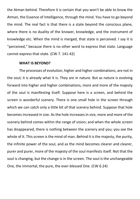the Atman behind. Therefore it is certain that you won't be able to know the Atman, the Essence of Intelligence, through the mind. You have to go beyond the mind. The real fact is that there is a state beyond the conscious plane, where there is no duality of the knower, knowledge, and the instrument of knowledge etc. When the mind is merged, that state is perceived. I say it is "perceived," because there is no other word to express that state. Language cannot express that state. (CW 7. 141-42)

# **WHAT IS BEYOND?**

The processes of evolution, higher and higher combinations, are not in the soul; it is already what it is. They are in nature. But as nature is evolving forward into higher and higher combinations, more and more of the majesty of the soul is manifesting itself. Suppose here is a screen, and behind the screen is wonderful scenery. There is one small hole in the screen through which we can catch only a little bit of that scenery behind. Suppose that hole becomes increased in size. As the hole increases in size, more and more of the scenery behind comes within the range of vision; and when the whole screen has disappeared, there is nothing between the scenery and you; you see the whole of it. This screen is the mind of man. Behind it is the majesty, the purity, the infinite power of the soul, and as the mind becomes clearer and clearer, purer and purer, more of the majesty of the soul manifests itself. Not that the soul is changing, but the change is in the screen. The soul is the unchangeable One, the immortal, the pure, the ever-blessed One. (CW 6.24)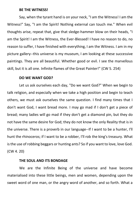#### **BE THE WITNESS!**

Say, when the tyrant hand is on your neck, "I am the Witness! I am the Witness!" Say, "I am the Spirit! Nothing external can touch me." When evil thoughts arise, repeat that, give that sledge-hammer blow on their heads, "I am the Spirit! I am the Witness, the Ever-Blessed! I have no reason to do, no reason to suffer, I have finished with everything, I am the Witness. I am in my picture gallery--this universe is my museum, I am looking at these successive paintings. They are all beautiful. Whether good or evil. I see the marvellous skill, but it is all one. Infinite flames of the Great Painter!" (CW 5. 254)

#### **DO WE WANT GOD?**

Let us ask ourselves each day, "Do we want God?" When we begin to talk religion, and especially when we take a high position and begin to teach others, we must ask ourselves the same question. I find many times that I don't want God, I want bread more. I may go mad if I don't get a piece of bread; many ladies will go mad if they don't get a diamond pin, but they do not have the same desire for God; they do not know the only Reality that is in the universe. There is a proverb in our language--If I want to be a hunter, I'll hunt the rhinoceros; if I want to be a robber, I'll rob the king's treasury. What is the use of robbing beggars or hunting ants? So if you want to love, love God. (CW 4. 20)

## **THE SOUL AND ITS BONDAGE**

We are the Infinite Being of the universe and have become materialised into these little beings, men and women, depending upon the sweet word of one man, or the angry word of another, and so forth. What a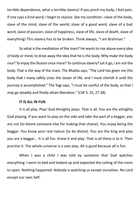terrible dependence, what a terrible slavery! If you pinch my body, I feel pain. If one says a kind word, I begin to rejoice. See my condition--slave of the body, slave of the mind, slave of the world, slave of a good word, slave of a bad word, slave of passion, slave of happiness, slave of life, slave of death, slave of everything! This slavery has to be broken. Think always, "I am Brahman."

So what is the meditation of the Jnani? He wants to rise above every idea of body or mind, to drive away the idea that he is the body. Why make the body nice? To enjoy the illusion once more? To continue slavery? Let it go, I am not the body. That is the way of the Jnani. The Bhakta says, "The Lord has given me this body that I many safely cross the ocean of life, and I must cherish it until the journey is accomplished." The Yogi says, "I must be careful of the body, so that I may go steadily and finally attain liberation." (CW 3. 25, 27-28)

## **IT IS ALL IN FUN**

It is all play. Play! God Almighty plays. That is all. You are the almighty God playing. If you want to play on the side and take the part of a beggar, you are not [to blame someone else for making that choice]. You enjoy being the beggar. You know your real nature [to be divine]. You are the king and play you are a beggar... It is all fun. Know it and play. That is all there is to it. Then practise it. The whole universe is a vast play. All is good because all is fun.

When I was a child I was told by someone that God watches everything. I went to bed and looked up and expected the ceiling of the room to open. Nothing happened. Nobody is watching us except ourselves. No Lord except our own Self.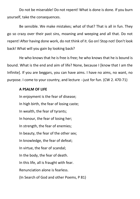Do not be miserable! Do not repent! What is done is done. If you burn yourself, take the consequences.

Be sensible. We make mistakes; what of that? That is all in fun. They go so crazy over their past sins, moaning and weeping and all that. Do not repent! After having done work, do not think of it. Go on! Stop not! Don't look back! What will you gain by looking back?

He who knows that he is free is free; he who knows that he is bound is bound. What is the end and aim of life? None, because I [know that I am the Infinite]. If you are beggars, you can have aims. I have no aims, no want, no purpose. I come to your country, and lecture --just for fun. (CW 2. 470-71)

# **A PSALM OF LIFE**

In enjoyment is the fear of disease; In high birth, the fear of losing caste; In wealth, the fear of tyrants; In honour, the fear of losing her; In strength, the fear of enemies; In beauty, the fear of the other sex; In knowledge, the fear of defeat; In virtue, the fear of scandal; In the body, the fear of death. In this life, all is fraught with fear. Renunciation alone is fearless. (In Search of God and other Poems, P 81)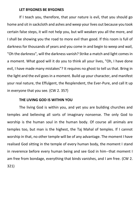#### **LET BYGONES BE BYGONES**

If I teach you, therefore, that your nature is evil, that you should go home and sit in sackcloth and ashes and weep your lives out because you took certain false steps, it will not help you, but will weaken you all the more, and I shall be showing you the road to more evil than good. If this room is full of darkness for thousands of years and you come in and begin to weep and wail, "Oh the darkness", will the darkness vanish? Strike a match and light comes in a moment. What good will it do you to think all your lives, "Oh, I have done evil, I have made many mistakes"? It requires no ghost to tell us that. Bring in the light and the evil goes in a moment. Build up your character, and manifest your real nature, the Effulgent, the Resplendent, the Ever-Pure, and call It up in everyone that you see. (CW 2. 357)

# **THE LIVING GOD IS WITHIN YOU**

The living God is within you, and yet you are building churches and temples and believing all sorts of imaginary nonsense. The only God to worship is the human soul in the human body. Of course all animals are temples too, but man is the highest, the Taj Mahal of temples. If I cannot worship in that, no other temple will be of any advantage. The moment I have realised God sitting in the temple of every human body, the moment I stand in reverence before every human being and see God in him--that moment I am free from bondage, everything that binds vanishes, and I am free. (CW 2. 321)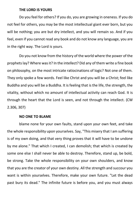#### **THE LORD IS YOURS**

Do you feel for others? If you do, you are growing in oneness. If you do not feel for others, you may be the most intellectual giant ever born, but you will be nothing; you are but dry intellect, and you will remain so. And if you feel, even if you cannot read any book and do not know any language, you are in the right way. The Lord is yours.

Do you not know from the history of the world where the power of the prophets lay? Where was it? In the intellect? Did any of them write a fine book on philosophy, on the most intricate ratiocinations of logic? Not one of them. They only spoke a few words. Feel like Christ and you will be a Christ; feel like Buddha and you will be a Buddha. It is feeling that is the life, the strength, the vitality, without which no amount of intellectual activity can reach God. It is through the heart that the Lord is seen, and not through the intellect. (CW 2.306, 307)

## **NO ONE TO BLAME**

blame none for your own faults, stand upon your own feet, and take the whole responsibility upon yourselves. Say, "This misery that I am suffering is of my own doing, and that very thing proves that it will have to be undone by me alone." That which I created, I can demolish; that which is created by some one else I shall never be able to destroy. Therefore, stand up, be bold, be strong. Take the whole responsibility on your own shoulders, and know that you are the creator of your own destiny. All the strength and succour you want is within yourselves. Therefore, make your own future. "Let the dead past bury its dead." The infinite future is before you, and you must always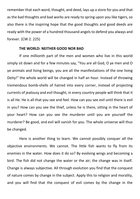remember that each word, thought, and deed, lays up a store for you and that as the bad thoughts and bad works are ready to spring upon you like tigers, so also there is the inspiring hope that the good thoughts and good deeds are ready with the power of a hundred thousand angels to defend you always and forever. (CW 2. 225)

## **THE WORLD: NEITHER GOOD NOR BAD**

If one millionth part of the men and women who live in this world simply sit down and for a few minutes say, "You are all God, O ye men and O ye animals and living beings, you are all the manifestations of the one living Deity!" the whole world will be changed in half an hour. Instead of throwing tremendous bomb-shells of hatred into every corner, instead of projecting currents of jealousy and evil thought, in every country people will think that it is all He. He is all that you see and feel. How can you see evil until there is evil in you? How can you see the thief, unless he is there, sitting in the heart of your heart? How can you see the murderer until you are yourself the murderer? Be good, and evil will vanish for you. The whole universe will thus be changed.

Here is another thing to learn. We cannot possibly conquer *all* the objective environments. We cannot. The little fish wants to fly from its enemies in the water. How does it do so? By evolving wings and becoming a bird. The fish did not change the water or the air; the change was in itself. Change is always subjective. All through evolution you find that the conquest of nature comes by change in the subject. Apply this to religion and morality, and you will find that the conquest of evil comes by the change in the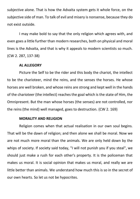subjective alone. That is how the Advaita system gets it whole force, on the subjective side of man. To talk of evil and misery is nonsense, because they do not exist outside.

I may make bold to say that the only religion which agrees with, and even goes a little further than modern researches, both on physical and moral lines is the Advaita, and that is why it appeals to modern scientists so much. (CW 2. 287, 137-38)

## **AL ALLEGORY**

Picture the Self to be the rider and this body the chariot, the intellect to be the charioteer, mind the reins, and the senses the horses. He whose horses are well broken, and whose reins are strong and kept well in the hands of the charioteer (the intellect) reaches the goal which is the state of Him, the Omnipresent. But the man whose horses (the senses) are not controlled, nor the reins (the mind) well managed, goes to destruction. (CW 2. 169)

### **MORALITY AND RELIGION**

Religion comes when that actual realisation in our own soul begins. That will be the dawn of religion; and then alone we shall be moral. Now we are not much more moral than the animals. We are only held down by the whips of society. If society said today, "I will not punish you if you steal", we should just make a rush for each other's property. It is the policeman that makes us moral. It is social opinion that makes us moral, and really we are little better than animals. We understand how much this is so in the secret of our own hearts. So let us not be hypocrites.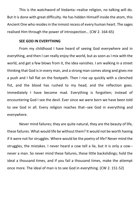This is the watchword of Vedanta--realise religion, no talking will do. But it is done with great difficulty. He has hidden Himself inside the atom, this Ancient One who resides in the inmost recess of every human heart. The sages realised Him through the power of introspection… (CW 2. 164-65)

# **SEE GOD IN EVERYTHING**

From my childhood I have heard of seeing God everywhere and in everything, and then I can really enjoy the world, but as soon as I mix with the world, and get a few blows from it, the idea vanishes. I am walking in a street thinking that God is in every man, and a strong man comes along and gives me a push and I fall flat on the footpath. Then I rise up quickly with a clenched fist, and the blood has rushed to my head, and the reflection goes. Immediately I have become mad. Everything is forgotten; instead of encountering God I see the devil. Ever since we were born we have been told to see God in all. Every religion reaches that--see God in everything and everywhere.

Never mind failures; they are quite natural, they are the beauty of life, these failures. What would life be without them? It would not be worth having if it were not for struggles. Where would be the poetry of life? Never mind the struggles, the mistakes. I never heard a cow tell a lie, but it is only a cow- never a man. So never mind these failures, these little backslidings; hold the ideal a thousand times, and if you fail a thousand times, make the attempt once more. The ideal of man is to see God in everything. (CW 2. 151-52)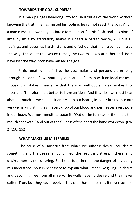#### **TOWARDS THE GOAL SUPREME**

If a man plunges headlong into foolish luxuries of the world without knowing the truth, he has missed his footing, he cannot reach the goal. And if a man curses the world, goes into a forest, mortifies his flesh, and kills himself little by little by starvation, makes his heart a barren waste, kills out all feelings, and becomes harsh, stern, and dried-up, that man also has missed the way. These are the two extremes, the two mistakes at either end. Both have lost the way, both have missed the goal.

Unfortunately in this life, the vast majority of persons are groping through this dark life without any ideal at all. If a man with an ideal makes a thousand mistakes, I am sure that the man without an ideal makes fifty thousand. Therefore, it is better to have an ideal. And this ideal we must hear about as much as we can, till it enters into our hearts, into our brains, into our very veins, until it tingles in every drop of our blood and permeates every pore in our body. We must meditate upon it. "Out of the fullness of the heart the mouth speaketh," and out of the fullness of the heart the hand works too. (CW 2. 150, 152)

### **WHAT MAKES US MISERABLE?**

The cause of all miseries from which we suffer is desire. You desire something and the desire is not fulfilled; the result is distress. If there is no desire, there is no suffering. But here, too, there is the danger of my being misunderstood. So it is necessary to explain what I mean by giving up desire and becoming free from all misery. The walls have no desire and they never suffer. True, but they never evolve. This chair has no desires, it never suffers;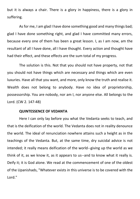but it is always a chair. There is a glory in happiness, there is a glory in suffering.

As for me, I am glad I have done something good and many things bad; glad I have done something right, and glad I have committed many errors, because every one of them has been a great lesson. I, as I am now, am the resultant of all I have done, all I have thought. Every action and thought have had their effect, and these effects are the sum total of my progress.

The solution is this. Not that you should not have property, not that you should not have things which are necessary and things which are even luxuries. Have all that you want, and more, only know the truth and realise it. Wealth does not belong to anybody. Have no idea of proprietorship, possessorship. You are nobody, nor am I, nor anyone else. All belongs to the Lord. (CW 2. 147-48)

### **QUINTESSENCE OF VEDANTA**

Here I can only lay before you what the Vedanta seeks to teach, and that is the deification of the world. The Vedanta does not in reality denounce the world. The ideal of renunciation nowhere attains such a height as in the teachings of the Vedanta. But, at the same time, dry suicidal advice is not intended; it really means deification of the world--giving up the world as we think of it, as we know it, as it appears to us--and to know what it really is. Deify it; it is God alone. We read at the commencement of one of the oldest of the Upanishads, "Whatever exists in this universe is to be covered with the Lord."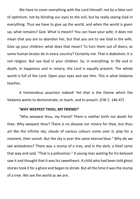We have to cover everything with the Lord Himself, not by a false sort of optimism, not by blinding our eyes to the evil, but by really seeing God in everything. Thus we have to give up the world, and when the world is given up, what remains? God. What is meant? You can have your wife; it does not mean that you are to abandon her, but that you are to see God in the wife. Give up your children; what does that mean? To turn them out of doors, as some human brutes do in every country? Certainly not. That is diabolism; it is not religion. But see God in your children. So, in everything. In life and in death, in happiness and in misery, the Lord is equally present. The whole world is full of the Lord. Open your eyes and see Him. This is what Vedanta teaches.

A tremendous assertion indeed! Yet that is the theme which the Vedanta wants to demonstrate, to teach, and to preach. (CW 2. 146-47)

# **'WHY WEEPEST THOU, MY FRIEND?'**

"Why weepest thou, my friend? There is neither birth nor death for thee. Why weepest thou? There is no disease nor misery for thee, but thou art like the infinite sky; clouds of various colours come over it, play for a moment, then vanish. But the sky is ever the same eternal blue." Why do we see wickedness? There was a stump of a tree, and in the dark, a thief came that way and said, "That is a policeman." A young man waiting for his beloved saw it and thought that it was his sweetheart. A child who had been told ghost stories took it for a ghost and began to shriek. But all the time it was the stump of a tree. We see the world as we are.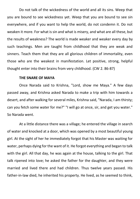Do not talk of the wickedness of the world and all its sins. Weep that you are bound to see wickedness yet. Weep that you are bound to see sin everywhere, and if you want to help the world, do not condemn it. Do not weaken it more. For what is sin and what is misery, and what are all these, but the results of weakness? The world is made weaker and weaker every day by such teachings. Men are taught from childhood that they are weak and sinners. Teach them that they are all glorious children of immortality, even those who are the weakest in manifestation. Let positive, strong, helpful thought enter into their brains from very childhood. (CW 2. 86-87)

# **THE SNARE OF MAYA**

Once Narada said to Krishna, "Lord, show me Maya." A few days passed away, and Krishna asked Narada to make a trip with him towards a desert, and after walking for several miles, Krishna said, "Narada, I am thirsty; can you fetch some water for me?" "I will go at once, sir, and get you water." So Narada went.

At a little distance there was a village; he entered the village in search of water and knocked at a door, which was opened by a most beautiful young girl. At the sight of her he immediately forgot that his Master was waiting for water, perhaps dying for the want of it. He forgot everything and began to talk with the girl. All that day, he was again at the house, talking to the girl. That talk ripened into love; he asked the father for the daughter, and they were married and lived there and had children. Thus twelve years passed. His father-in-law died, he inherited his property. He lived, as he seemed to think,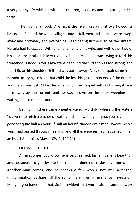a very happy life with his wife and children, his fields and his cattle, and so forth.

Then came a flood. One night the river rose until it overflowed its banks and flooded the whole village. Houses fell, men and animals were swept away and drowned, and everything was floating in the rush of the stream. Narada had to escape. With one hand he held his wife, and with other two of his children; another child was on his shoulders, and he was trying to ford this tremendous flood. After a few steps he found the current was too strong, and the child on his shoulders fell and was borne away. A cry of despair came from Narada. In trying to save that child, he lost his grasp upon one of the others, and it also was lost. At last his wife, whom he clasped with all his might, was torn away by the current, and he was thrown on the bank, weeping and wailing in bitter lamentation.

Behind him there came a gentle voice, "My child, where is the water? You went to fetch a pitcher of water, and I am waiting for you; you have been gone for quite half an hour." "Half an hour!" Narada exclaimed. Twelve whole years had passed through his mind, and all these scenes had happened in half an hour! And this is Maya. (CW 2. 120-21)

## **LIFE INSPIRES LIFE**

A man comes; you know he is very learned, his language is beautiful, and he speaks to you by the hour; but he does not make any impression. Another man comes, and he speaks a few words, not well arranged, ungrammatical perhaps; all the same, he makes an immense impression. Many of you have seen that. So it is evident that words alone cannot always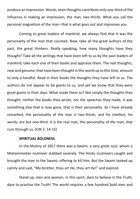produce an impression. Words, even thoughts contribute only one-third of the influence in making an impression, the man, two-thirds. What you call the personal magnetism of the man--that is what goes out and impresses you.

Coming to great leaders of mankind, we always find that it was the personality of the man that counted. Now, take all the great authors of the past, the great thinkers. Really speaking, how many thoughts have they thought? Take all the writings that have been left to us by the past leaders of mankind; take each one of their books and appraise them. The real thoughts, new and genuine, that have been thought in this world up to this time, amount to only a handful. Read in their books the thoughts they have left to us. The authors do not appear to be giants to us, and yet we know that they were great giants in their days. What made them so? Not simply the thoughts they thought, neither the books they wrote, nor the speeches they made, it was something else that is now gone, that is their personality. As I have already remarked, the personality of the man is two-thirds, and his intellect, his words, are but one-third. It is the real man, the personality of the man, that runs through us. (CW 2. 14-15)

### **SPIRITUAL BOLDNESS**

In the Mutiny of 1857 there was a Swami, a very great soul, whom a Mohammedan mutineer stabbed severely. The Hindu mutineers caught and brought the man to the Swami, offering to kill him. But the Swami looked up calmly and said, "My brother, thou art He, thou art He!" and expired.

Stand up, men and women, in this spirit, dare to believe in the Truth, dare to practise the Truth! The world requires a few hundred bold men and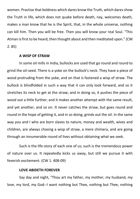women. Practise that boldness which dares know the Truth, which dares show the Truth in life, which does not quake before death, nay, welcomes death, makes a man know that he is the Spirit, that, in the whole universe, nothing can kill him. Then you will be free. Then you will know your real Soul. "This Atman is first to be heard, then thought about and then meditated upon." (CW 2. 85)

### **A WISP OF STRAW**

In some oil mills in India, bullocks are used that go round and round to grind the oil-seed. There is a yoke on the bullock's neck. They have a piece of wood protruding from the yoke, and on that is fastened a wisp of straw. The bullock is blindfolded in such a way that it can only look forward, and so it stretches its neck to get at the straw; and in doing so, it pushes the piece of wood out a little further; and it makes another attempt with the same result, and yet another, and so on. It never catches the straw, but goes round and round in the hope of getting it, and in so doing, grinds out the oil. In the same way you and I who are born slaves to nature, money and wealth, wives and children, are always chasing a wisp of straw, a mere chimera, and are going through an innumerable round of lives without obtaining what we seek.

Such is the life-story of each one of us; such is the tremendous power of nature over us. It repeatedly kicks us away, but still we pursue it with feverish excitement. (CW 1. 408-09)

## **LOVE ABIDETH FOREVER**

Say day and night, "Thou art my father, my mother, my husband, my love, my lord, my God--I want nothing but Thee, nothing but Thee, nothing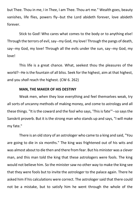but Thee. Thou in me, I in Thee, I am Thee. Thou art me." Wealth goes, beauty vanishes, life flies, powers fly--but the Lord abideth forever, love abideth forever.

Stick to God! Who cares what comes to the body or to anything else! Through the terrors of evil, say--my God, my love! Through the pangs of death, say--my God, my love! Through all the evils under the sun, say--my God, my love!

This life is a great chance. What, seekest thou the pleasures of the world?--He is the fountain of all bliss. Seek for the highest, aim at that highest, and you *shall* reach the highest. (CW 6. 262)

## **MAN, THE MAKER OF HIS DESTINY**

Weak men, when they lose everything and feel themselves weak, try all sorts of uncanny methods of making money, and come to astrology and all these things. "It is the coward and the fool who says, 'This is fate'"--so says the Sanskrit proverb. But it is the strong man who stands up and says, "I will make my fate."

There is an old story of an astrologer who came to a king and said, "You are going to die in six months." The king was frightened out of his wits and was almost about to die then and there from fear. But his minister was a clever man, and this man told the king that these astrologers were fools. The king would not believe him. So the minister saw no other way to make the king see that they were fools but to invite the astrologer to the palace again. There he asked him if his calculations were correct. The astrologer said that there could not be a mistake, but to satisfy him he went through the whole of the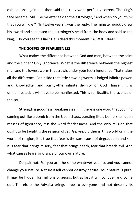calculations again and then said that they were perfectly correct. The king's face became livid. The minister said to the astrologer, "And when do you think that you will die?" "In twelve years", was the reply. The minister quickly drew his sword and separated the astrologer's head from the body and said to the king, "Do you see this liar? He is dead this moment." (CW 8. 184-85)

# **THE GOSPEL OF FEARLESSNESS**

What makes the difference between God and man, between the saint and the sinner? Only ignorance. What is the difference between the highest man and the lowest worm that crawls under your feet? Ignorance. That makes all the difference. For inside that little crawling worm is lodged infinite power, and knowledge, and purity--the infinite divinity of God Himself. It is unmanifested; it will have to be manifested. This is spirituality, the science of the soul.

Strength is goodness, weakness is sin. If there is one word that you find coming out like a bomb from the Upanishads, bursting like a bomb-shell upon masses of ignorance, it is the word fearlessness. And the only religion that ought to be taught is the religion of *fearlessness*. Either in this world or in the world of religion, it is true that fear is the sure cause of degradation and sin. It is fear that brings misery, fear that brings death, fear that breeds evil. And what causes fear? Ignorance of our own nature.

Despair not. For you are the same whatever you do, and you cannot change your nature. Nature itself cannot destroy nature. Your nature is pure. It may be hidden for millions of aeons, but at last it will conquer and come out. Therefore the Advaita brings hope to everyone and not despair. Its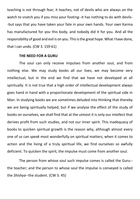teaching is not through fear; it teaches, not of devils who are always on the watch to snatch you if you miss your footing--it has nothing to do with devils- -but says that you have taken your fate in your own hands. Your own Karma has manufactured for you this body, and nobody did it for you. And all the responsibility of good and evil is on you. This is the great hope. What I have done, that I can undo. (CW 3. 159-61)

## **THE NEED FOR A GURU**

The soul can only receive impulses from another soul, and from nothing else. We may study books all our lives, we may become very intellectual, but in the end we find that we have not developed at all spiritually. It is not true that a high order of intellectual development always goes hand in hand with a proportionate development of the spiritual side in Man. In studying books we are sometimes deluded into thinking that thereby we are being spiritually helped; but if we analyse the effect of the study of books on ourselves, we shall find that at the utmost it is only our intellect that derives profit from such studies, and not our inner spirit. This inadequacy of books to quicken spiritual growth is the reason why, although almost every one of us can *speak* most wonderfully on spiritual matters, when it comes to action and the living of a truly spiritual life, we find ourselves so awfully deficient. To quicken the spirit, the impulse must come from another soul.

The person from whose soul such impulse comes is called the Guru- the teacher; and the person to whose soul the impulse is conveyed is called the *Shishya*--the student. (CW 3. 45)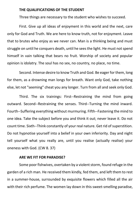## **THE QUALIFICATIONS OF THE STUDENT**

Three things are necessary to the student who wishes to succeed.

First. Give up all ideas of enjoyment in this world and the next, care only for God and Truth. We are here to know truth, not for enjoyment. Leave that to brutes who enjoy as we never can. Man is a thinking being and must struggle on until he conquers death, until he sees the light. He must not spend himself in vain talking that bears no fruit. Worship of society and popular opinion is idolatry. The soul has no sex, no country, no place, no time.

Second. Intense desire to know Truth and God. Be eager for them, long for them, as a drowning man longs for breath. Want only God, take nothing else, let not "seeming" cheat you any longer. Turn from all and seek only God.

Third. The six trainings: First--Restraining the mind from going outward. Second--Restraining the senses. Third--Turning the mind inward. Fourth--Suffering everything without murmuring. Fifth--Fastening the mind to one idea. Take the subject before you and think it out; never leave it. Do not count time. Sixth--Think constantly of your real nature. Get rid of superstition. Do not hypnotise yourself into a belief in your own inferiority. Day and night tell yourself what you really are, until you realise (actually realise) your oneness with God. (CW 8. 37)

# **ARE WE FIT FOR PARADISE?**

Some poor fishwives, overtaken by a violent storm, found refuge in the garden of a rich man. He received them kindly, fed them, and left them to rest in a summer-house, surrounded by exquisite flowers which filled all the air with their rich perfume. The women lay down in this sweet-smelling paradise,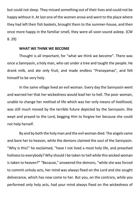but could not sleep. They missed something out of their lives and could not be happy without it. At last one of the women arose and went to the place where they had left their fish baskets, brought them to the summer-house, and then once more happy in the familiar smell, they were all soon sound asleep. (CW 8. 29)

## **WHAT WE THINK WE BECOME**

Thought is all important, for "what we think we become". There was once a Sannyasin, a holy man, who sat under a tree and taught the people. He drank milk, and ate only fruit, and made endless "Pranayamas", and felt himself to be very holy.

In the same village lived an evil woman. Every day the Sannyasin went and warned her that her wickedness would lead her to hell. The poor woman, unable to change her method of life which was her only means of livelihood, was still much moved by the terrible future depicted by the Sannyasin. She wept and prayed to the Lord, begging Him to forgive her because she could not help herself.

By and by both the holy man and the evil woman died. The angels came and bore her to heaven, while the demons claimed the soul of the Sannyasin. "Why is this!" he exclaimed, "have I not lived a most holy life, and preached holiness to everybody? Why should I be taken to hell while this wicked woman is taken to heaven?" "Because," answered the demons, "while she was forced to commit unholy acts, her mind was always fixed on the Lord and she sought deliverance, which has now come to her. But you, on the contrary, while you performed only holy acts, had your mind always fixed on the wickedness of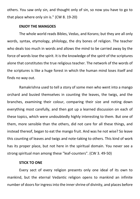others. You saw only sin, and thought only of sin, so now you have to go to that place where only sin is." (CW 8. 19-20)

# **ENJOY THE MANGOES**

The whole world reads Bibles, Vedas, and Korans; but they are all only words, syntax, etymology, philology, the dry bones of religion. The teacher who deals too much in words and allows the mind to be carried away by the force of words lose the spirit. It is the knowledge of the *spirit* of the scriptures alone that constitutes the true religious teacher. The network of the words of the scriptures is like a huge forest in which the human mind loses itself and finds no way out.

Ramakrishna used to tell a story of some men who went into a mango orchard and busied themselves in counting the leaves, the twigs, and the branches, examining their colour, comparing their size and noting down everything most carefully, and then got up a learned discussion on each of these topics, which were undoubtedly highly interesting to them. But one of them, more sensible than the others, did not care for all these things, and instead thereof, began to eat the mango fruit. And was he not wise? So leave this counting of leaves and twigs and note-taking to others. This kind of work has its proper place, but not here in the spiritual domain. You never see a strong spiritual man among these "leaf-counters". (CW 3. 49-50)

## **STICK TO ONE**

Every sect of every religion presents only one ideal of its own to mankind, but the eternal Vedantic religion opens to mankind an infinite number of doors for ingress into the inner shrine of divinity, and places before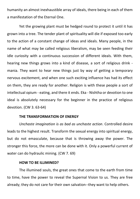humanity an almost inexhaustible array of ideals, there being in each of them a manifestation of the Eternal One.

Yet the growing plant must be hedged round to protect it until it has grown into a tree. The tender plant of spirituality will die if exposed too early to the action of a constant change of ideas and ideals. Many people, in the name of what may be called religious liberalism, may be seen feeding their idle curiosity with a continuous succession of different ideals. With them, hearing new things grows into a kind of disease, a sort of religious drink mania. They want to hear new things just by way of getting a temporary nervous excitement, and when one such exciting influence has had its effect on them, they are ready for another. Religion is with these people a sort of intellectual opium - eating, and there it ends. Eka - Nishtha or devotion to one ideal is absolutely necessary for the beginner in the practice of religious devotion. (CW 3. 63-64)

# **THE TRANSFORMATION OF ENERGY**

*Unchaste imagination is as bad as unchaste action*. Controlled desire leads to the highest result. Transform the sexual energy into spiritual energy, but do not emasculate, because that is throwing away the power. The stronger this force, the more can be done with it. Only a powerful current of water can do hydraulic mining. (CW 7. 69)

## **HOW TO BE ILLIMINED?**

The illumined souls, the great ones that come to the earth from time to time, have the power to reveal the Supernal Vision to us. They are free already; they do not care for their own salvation--they want to help others.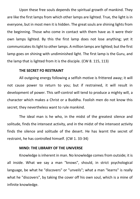Upon these free souls depends the spiritual growth of mankind. They are like the first lamps from which other lamps are lighted. True, the light is in everyone, but in most men it is hidden. The great souls are shining lights from the beginning. Those who come in contact with them have as it were their own lamps lighted. By this the first lamp does not lose anything; yet it communicates its light to other lamps. A million lamps are lighted; but the first lamp goes on shining with undiminished light. The first lamp is the Guru, and the lamp that is lighted from it is the disciple. (CW 8. 115, 113)

## **THE SECRET FO RESTRAINT**

All outgoing energy following a selfish motive is frittered away; it will not cause power to return to you; but if restrained, it will result in development of power. This self-control will tend to produce a mighty will, a character which makes a Christ or a Buddha. Foolish men do not know this secret; they nevertheless want to rule mankind.

The ideal man is he who, in the midst of the greatest silence and solitude, finds the intensest activity, and in the midst of the intensest activity finds the silence and solitude of the desert. He has learnt the secret of restraint, he has controlled himself. (CW 1. 33-34)

## **MIND: THE LIBRARY OF THE UNIVERSE**

Knowledge is inherent in man. No knowledge comes from outside; it is all inside. What we say a man "knows", should, in strict psychological language, be what he "discovers" or "unveils"; what a man "learns" is really what he "discovers", by taking the cover off his own soul, which is a mine of infinite knowledge.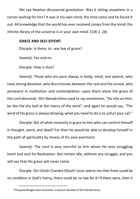We say Newton discovered gravitation. Was it sitting anywhere in a corner waiting for him? It was in his own mind; the time came and he found it out. All knowledge that the world has ever received comes from the mind; the infinite library of the universe is in your own mind. (CW 1. 28)

# **GRACE AND SELF-EFFORT**

Disciple: Is there, sir, any law of grace?

Swamiji: Yes and no.

Disciple: How is that?

Swamiji: Those who are pure always in body, mind, and speech, who have strong devotion, who discriminate between the real and the unreal, who persevere in meditation and contemplation--upon them alone the grace of the Lord descends. Shri Ramakrishna used to say sometimes, "Do rely on Him; be like the dry leaf at the mercy of the wind"; and again he would say, "The wind of His grace is always blowing, what you need to do is to unfurl your sail."

Disciple: But of what necessity is grace to him who can control himself in thought, word, and deed? For then he would be able to develop himself in the path of spirituality by means of his own exertions!

Swamiji: The Lord is very merciful to him whom He sees struggling heart and soul for Realisation. But remain idle, without any struggle, and you will see that His grace will never come.

Disciple: Shri Girish Chandra Ghosh $1$  once said to me that there could be no condition in God's mercy; there could be no law for it! If there were, then it

 $\overline{a}$ 

1The great Bengali actor-dramatist, a staunch devotee of Shri Ramakrishna.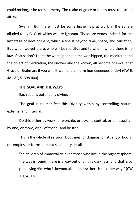could no longer be termed mercy. The realm of grace or mercy must transcend all law.

Swamiji: But there must be some higher law at work in the sphere alluded to by G. C. of which we are ignorant. Those are words, indeed, for the last stage of development, which alone is beyond time, space, and causation. But, when we get there, who will be merciful, and to whom, where there is no law of causation? There the worshipper and the worshipped, the meditator and the object of meditation, the knower and the known, all become one--call that Grace or Brahman, if you will. It is all one uniform homogeneous entity! (CW 6. 481-82, 5. 398-400)

# **THE GOAL AND THE WAYS**

Each soul is potentially divine.

The goal is to manifest this Divinity within by controlling nature, external and internal.

Do this either by work, or worship, or psychic control, or philosophy- by one, or more, or all of these--and be free.

This is the whole of religion. Doctrines, or dogmas, or rituals, or books, or temples, or forms, are but secondary details.

"Ye children of immortality, even those who live in the highest sphere, the way is found; there is a way out of all this darkness, and that is by perceiving Him who is beyond all darkness; there is no other way." (CW 1.124, 128)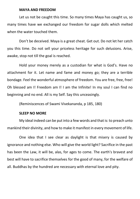#### **MAYA AND FREEDOM**

Let us not be caught this time. So many times Maya has caught us, so many times have we exchanged our freedom for sugar dolls which melted when the water touched them.

Don't be deceived. Maya is a great cheat. Get out. Do not let her catch you this time. Do not sell your priceless heritage for such delusions. Arise, awake, stop not till the goal is reached.

Hold your money merely as a custodian for what is God's. Have no attachment for it. Let name and fame and money go; they are a terrible bondage. Feel the wonderful atmosphere of freedom. You are free, free, free! Oh blessed am I! Freedom am I! I am the Infinite! In my soul I can find no beginning and no end. All is my Self. Say this unceasingly.

(Reminiscences of Swami Vivekananda, p 185, 180)

# **SLEEP NO MORE**

My ideal indeed can be put into a few words and that is: to preach unto mankind their divinity, and how to make it manifest in every movement of life.

One idea that I see clear as daylight is that misery is caused by ignorance and nothing else. Who will give the world light? Sacrifice in the past has been the Law, it will be, alas, for ages to come. The earth's bravest and best will have to sacrifice themselves for the good of many, for the welfare of all. Buddhas by the hundred are necessary with eternal love and pity.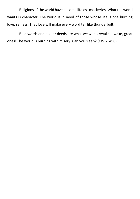Religions of the world have become lifeless mockeries. What the world wants is character. The world is in need of those whose life is one burning love, selfless. That love will make every word tell like thunderbolt.

Bold words and bolder deeds are what we want. Awake, awake, great ones! The world is burning with misery. Can you sleep? (CW 7. 498)